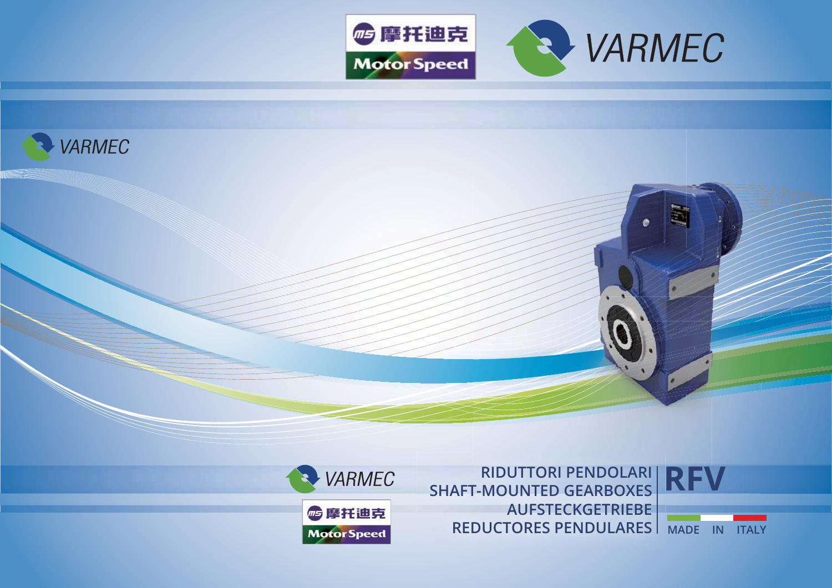





**RIDUTTORI PENDOLARI SHAFT-MOUNTED GEARBOXES AUFSTECKGETRIEBE REDUCTORES PENDULARES MADE IN ITALY**